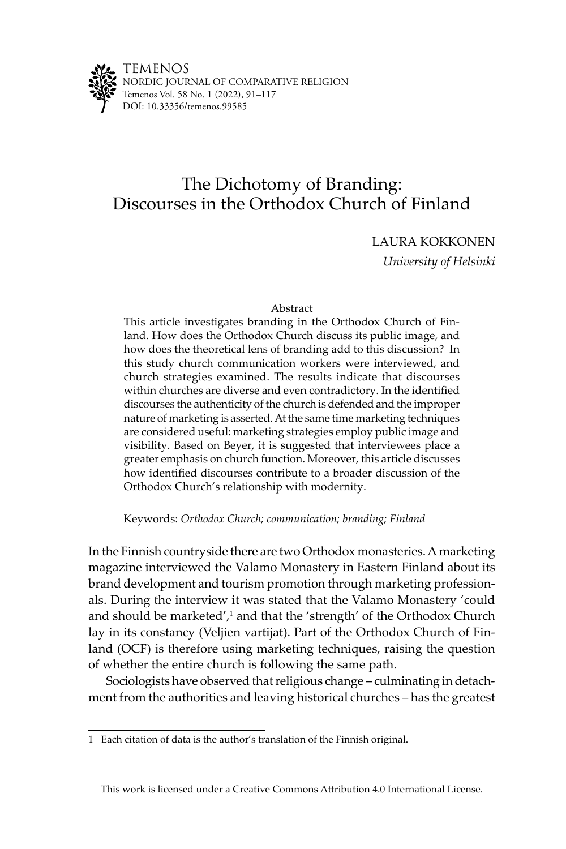

# The Dichotomy of Branding: Discourses in the Orthodox Church of Finland

LAURA KOKKONEN

*University of Helsinki*

# Abstract

This article investigates branding in the Orthodox Church of Finland. How does the Orthodox Church discuss its public image, and how does the theoretical lens of branding add to this discussion? In this study church communication workers were interviewed, and church strategies examined. The results indicate that discourses within churches are diverse and even contradictory. In the identified discourses the authenticity of the church is defended and the improper nature of marketing is asserted. At the same time marketing techniques are considered useful: marketing strategies employ public image and visibility. Based on Beyer, it is suggested that interviewees place a greater emphasis on church function. Moreover, this article discusses how identified discourses contribute to a broader discussion of the Orthodox Church's relationship with modernity.

Keywords: *Orthodox Church; communication; branding; Finland*

In the Finnish countryside there are two Orthodox monasteries.A marketing magazine interviewed the Valamo Monastery in Eastern Finland about its brand development and tourism promotion through marketing professionals. During the interview it was stated that the Valamo Monastery 'could and should be marketed', $\frac{1}{2}$  and that the 'strength' of the Orthodox Church lay in its constancy (Veljien vartijat). Part of the Orthodox Church of Finland (OCF) is therefore using marketing techniques, raising the question of whether the entire church is following the same path.

Sociologists have observed that religious change – culminating in detachment from the authorities and leaving historical churches – has the greatest

<sup>1</sup> Each citation of data is the author's translation of the Finnish original.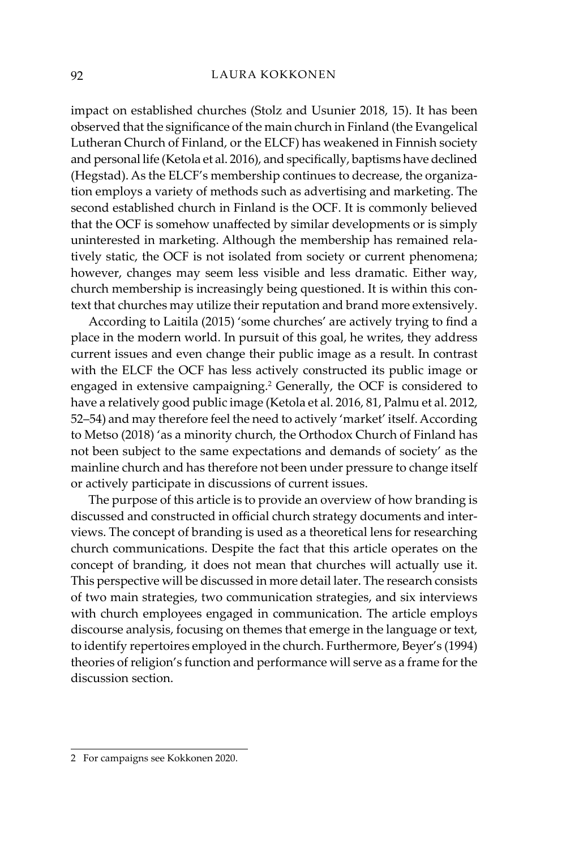impact on established churches (Stolz and Usunier 2018, 15). It has been observed that the significance of the main church in Finland (the Evangelical Lutheran Church of Finland, or the ELCF) has weakened in Finnish society and personal life (Ketola et al. 2016), and specifically, baptisms have declined (Hegstad). As the ELCF's membership continues to decrease, the organization employs a variety of methods such as advertising and marketing. The second established church in Finland is the OCF. It is commonly believed that the OCF is somehow unaffected by similar developments or is simply uninterested in marketing. Although the membership has remained relatively static, the OCF is not isolated from society or current phenomena; however, changes may seem less visible and less dramatic. Either way, church membership is increasingly being questioned. It is within this context that churches may utilize their reputation and brand more extensively.

According to Laitila (2015) 'some churches' are actively trying to find a place in the modern world. In pursuit of this goal, he writes, they address current issues and even change their public image as a result. In contrast with the ELCF the OCF has less actively constructed its public image or engaged in extensive campaigning.<sup>2</sup> Generally, the OCF is considered to have a relatively good public image (Ketola et al. 2016, 81, Palmu et al. 2012, 52–54) and may therefore feel the need to actively 'market' itself. According to Metso (2018) 'as a minority church, the Orthodox Church of Finland has not been subject to the same expectations and demands of society' as the mainline church and has therefore not been under pressure to change itself or actively participate in discussions of current issues.

The purpose of this article is to provide an overview of how branding is discussed and constructed in official church strategy documents and interviews. The concept of branding is used as a theoretical lens for researching church communications. Despite the fact that this article operates on the concept of branding, it does not mean that churches will actually use it. This perspective will be discussed in more detail later. The research consists of two main strategies, two communication strategies, and six interviews with church employees engaged in communication. The article employs discourse analysis, focusing on themes that emerge in the language or text, to identify repertoires employed in the church. Furthermore, Beyer's (1994) theories of religion's function and performance will serve as a frame for the discussion section.

<sup>2</sup> For campaigns see Kokkonen 2020.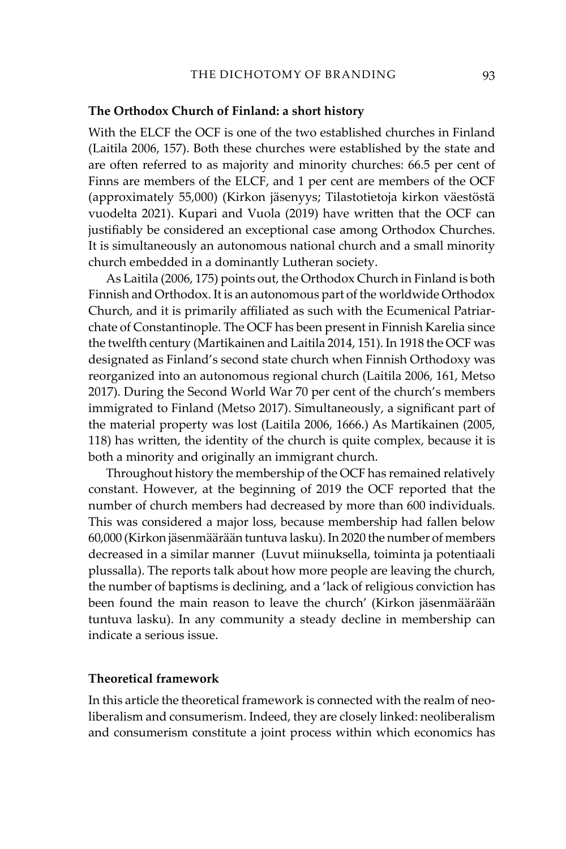### **The Orthodox Church of Finland: a short history**

With the ELCF the OCF is one of the two established churches in Finland (Laitila 2006, 157). Both these churches were established by the state and are often referred to as majority and minority churches: 66.5 per cent of Finns are members of the ELCF, and 1 per cent are members of the OCF (approximately 55,000) (Kirkon jäsenyys; Tilastotietoja kirkon väestöstä vuodelta 2021). Kupari and Vuola (2019) have written that the OCF can justifiably be considered an exceptional case among Orthodox Churches. It is simultaneously an autonomous national church and a small minority church embedded in a dominantly Lutheran society.

As Laitila (2006, 175) points out, the Orthodox Church in Finland is both Finnish and Orthodox. It is an autonomous part of the worldwide Orthodox Church, and it is primarily affiliated as such with the Ecumenical Patriarchate of Constantinople. The OCF has been present in Finnish Karelia since the twelfth century (Martikainen and Laitila 2014, 151). In 1918 the OCF was designated as Finland's second state church when Finnish Orthodoxy was reorganized into an autonomous regional church (Laitila 2006, 161, Metso 2017). During the Second World War 70 per cent of the church's members immigrated to Finland (Metso 2017). Simultaneously, a significant part of the material property was lost (Laitila 2006, 1666.) As Martikainen (2005, 118) has written, the identity of the church is quite complex, because it is both a minority and originally an immigrant church.

Throughout history the membership of the OCF has remained relatively constant. However, at the beginning of 2019 the OCF reported that the number of church members had decreased by more than 600 individuals. This was considered a major loss, because membership had fallen below 60,000 (Kirkon jäsenmäärään tuntuva lasku). In 2020 the number of members decreased in a similar manner (Luvut miinuksella, toiminta ja potentiaali plussalla). The reports talk about how more people are leaving the church, the number of baptisms is declining, and a 'lack of religious conviction has been found the main reason to leave the church' (Kirkon jäsenmäärään tuntuva lasku). In any community a steady decline in membership can indicate a serious issue.

# **Theoretical framework**

In this article the theoretical framework is connected with the realm of neoliberalism and consumerism. Indeed, they are closely linked: neoliberalism and consumerism constitute a joint process within which economics has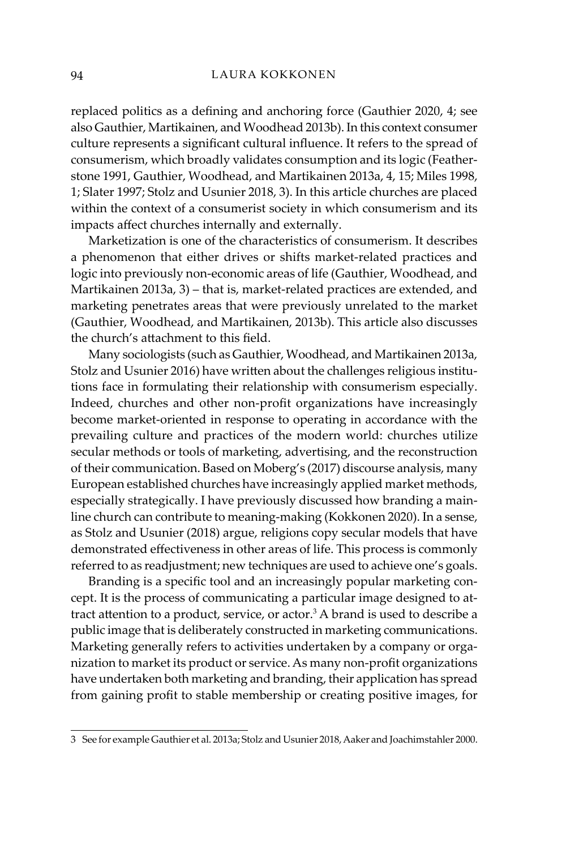replaced politics as a defining and anchoring force (Gauthier 2020, 4; see also Gauthier, Martikainen, and Woodhead 2013b). In this context consumer culture represents a significant cultural influence. It refers to the spread of consumerism, which broadly validates consumption and its logic (Featherstone 1991, Gauthier, Woodhead, and Martikainen 2013a, 4, 15; Miles 1998, 1; Slater 1997; Stolz and Usunier 2018, 3). In this article churches are placed within the context of a consumerist society in which consumerism and its impacts affect churches internally and externally.

Marketization is one of the characteristics of consumerism. It describes a phenomenon that either drives or shifts market-related practices and logic into previously non-economic areas of life (Gauthier, Woodhead, and Martikainen 2013a, 3) – that is, market-related practices are extended, and marketing penetrates areas that were previously unrelated to the market (Gauthier, Woodhead, and Martikainen, 2013b). This article also discusses the church's attachment to this field.

Many sociologists (such as Gauthier, Woodhead, and Martikainen 2013a, Stolz and Usunier 2016) have written about the challenges religious institutions face in formulating their relationship with consumerism especially. Indeed, churches and other non-profit organizations have increasingly become market-oriented in response to operating in accordance with the prevailing culture and practices of the modern world: churches utilize secular methods or tools of marketing, advertising, and the reconstruction of their communication. Based on Moberg's (2017) discourse analysis, many European established churches have increasingly applied market methods, especially strategically. I have previously discussed how branding a mainline church can contribute to meaning-making (Kokkonen 2020). In a sense, as Stolz and Usunier (2018) argue, religions copy secular models that have demonstrated effectiveness in other areas of life. This process is commonly referred to as readjustment; new techniques are used to achieve one's goals.

Branding is a specific tool and an increasingly popular marketing concept. It is the process of communicating a particular image designed to attract attention to a product, service, or actor.<sup>3</sup> A brand is used to describe a public image that is deliberately constructed in marketing communications. Marketing generally refers to activities undertaken by a company or organization to market its product or service. As many non-profit organizations have undertaken both marketing and branding, their application has spread from gaining profit to stable membership or creating positive images, for

<sup>3</sup> See for example Gauthier et al. 2013a; Stolz and Usunier 2018, Aaker and Joachimstahler 2000.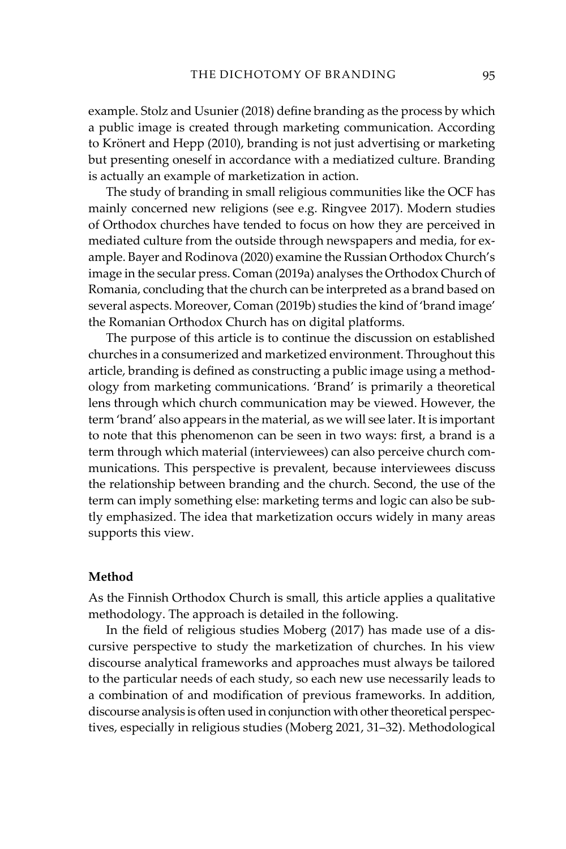example. Stolz and Usunier (2018) define branding as the process by which a public image is created through marketing communication. According to Krönert and Hepp (2010), branding is not just advertising or marketing but presenting oneself in accordance with a mediatized culture. Branding is actually an example of marketization in action.

The study of branding in small religious communities like the OCF has mainly concerned new religions (see e.g. Ringvee 2017). Modern studies of Orthodox churches have tended to focus on how they are perceived in mediated culture from the outside through newspapers and media, for example. Bayer and Rodinova (2020) examine the Russian Orthodox Church's image in the secular press. Coman (2019a) analyses the Orthodox Church of Romania, concluding that the church can be interpreted as a brand based on several aspects. Moreover, Coman (2019b) studies the kind of 'brand image' the Romanian Orthodox Church has on digital platforms.

The purpose of this article is to continue the discussion on established churches in a consumerized and marketized environment. Throughout this article, branding is defined as constructing a public image using a methodology from marketing communications. 'Brand' is primarily a theoretical lens through which church communication may be viewed. However, the term 'brand' also appears in the material, as we will see later. It is important to note that this phenomenon can be seen in two ways: first, a brand is a term through which material (interviewees) can also perceive church communications. This perspective is prevalent, because interviewees discuss the relationship between branding and the church. Second, the use of the term can imply something else: marketing terms and logic can also be subtly emphasized. The idea that marketization occurs widely in many areas supports this view.

### **Method**

As the Finnish Orthodox Church is small, this article applies a qualitative methodology. The approach is detailed in the following.

In the field of religious studies Moberg (2017) has made use of a discursive perspective to study the marketization of churches. In his view discourse analytical frameworks and approaches must always be tailored to the particular needs of each study, so each new use necessarily leads to a combination of and modification of previous frameworks. In addition, discourse analysis is often used in conjunction with other theoretical perspectives, especially in religious studies (Moberg 2021, 31–32). Methodological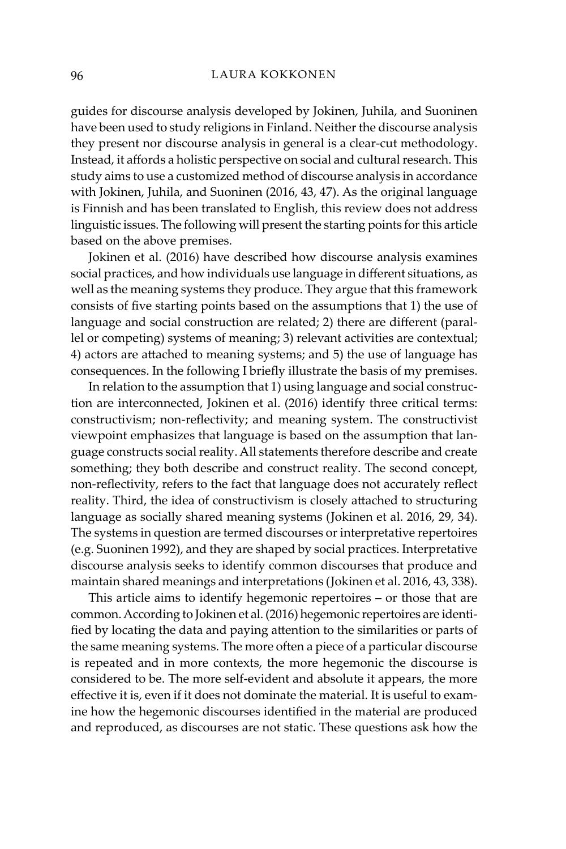guides for discourse analysis developed by Jokinen, Juhila, and Suoninen have been used to study religions in Finland. Neither the discourse analysis they present nor discourse analysis in general is a clear-cut methodology. Instead, it affords a holistic perspective on social and cultural research. This study aims to use a customized method of discourse analysis in accordance with Jokinen, Juhila, and Suoninen (2016, 43, 47). As the original language is Finnish and has been translated to English, this review does not address linguistic issues. The following will present the starting points for this article based on the above premises.

Jokinen et al. (2016) have described how discourse analysis examines social practices, and how individuals use language in different situations, as well as the meaning systems they produce. They argue that this framework consists of five starting points based on the assumptions that 1) the use of language and social construction are related; 2) there are different (parallel or competing) systems of meaning; 3) relevant activities are contextual; 4) actors are attached to meaning systems; and 5) the use of language has consequences. In the following I briefly illustrate the basis of my premises.

In relation to the assumption that 1) using language and social construction are interconnected, Jokinen et al. (2016) identify three critical terms: constructivism; non-reflectivity; and meaning system. The constructivist viewpoint emphasizes that language is based on the assumption that language constructs social reality. All statements therefore describe and create something; they both describe and construct reality. The second concept, non-reflectivity, refers to the fact that language does not accurately reflect reality. Third, the idea of constructivism is closely attached to structuring language as socially shared meaning systems (Jokinen et al. 2016, 29, 34). The systems in question are termed discourses or interpretative repertoires (e.g. Suoninen 1992), and they are shaped by social practices. Interpretative discourse analysis seeks to identify common discourses that produce and maintain shared meanings and interpretations (Jokinen et al. 2016, 43, 338).

This article aims to identify hegemonic repertoires – or those that are common. According to Jokinen et al. (2016) hegemonic repertoires are identified by locating the data and paying attention to the similarities or parts of the same meaning systems. The more often a piece of a particular discourse is repeated and in more contexts, the more hegemonic the discourse is considered to be. The more self-evident and absolute it appears, the more effective it is, even if it does not dominate the material. It is useful to examine how the hegemonic discourses identified in the material are produced and reproduced, as discourses are not static. These questions ask how the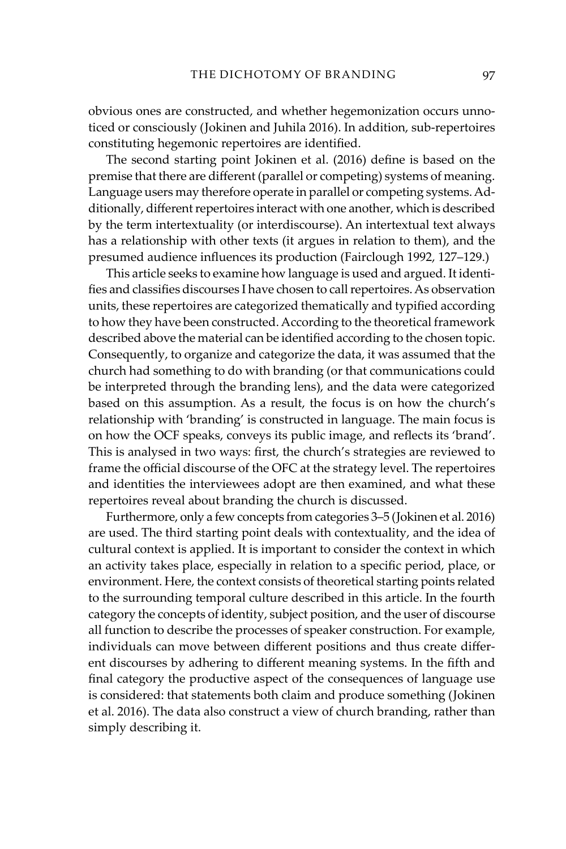obvious ones are constructed, and whether hegemonization occurs unnoticed or consciously (Jokinen and Juhila 2016). In addition, sub-repertoires constituting hegemonic repertoires are identified.

The second starting point Jokinen et al. (2016) define is based on the premise that there are different (parallel or competing) systems of meaning. Language users may therefore operate in parallel or competing systems. Additionally, different repertoires interact with one another, which is described by the term intertextuality (or interdiscourse). An intertextual text always has a relationship with other texts (it argues in relation to them), and the presumed audience influences its production (Fairclough 1992, 127–129.)

This article seeks to examine how language is used and argued. It identifies and classifies discourses I have chosen to call repertoires. As observation units, these repertoires are categorized thematically and typified according to how they have been constructed. According to the theoretical framework described above the material can be identified according to the chosen topic. Consequently, to organize and categorize the data, it was assumed that the church had something to do with branding (or that communications could be interpreted through the branding lens), and the data were categorized based on this assumption. As a result, the focus is on how the church's relationship with 'branding' is constructed in language. The main focus is on how the OCF speaks, conveys its public image, and reflects its 'brand'. This is analysed in two ways: first, the church's strategies are reviewed to frame the official discourse of the OFC at the strategy level. The repertoires and identities the interviewees adopt are then examined, and what these repertoires reveal about branding the church is discussed.

Furthermore, only a few concepts from categories 3–5 (Jokinen et al. 2016) are used. The third starting point deals with contextuality, and the idea of cultural context is applied. It is important to consider the context in which an activity takes place, especially in relation to a specific period, place, or environment. Here, the context consists of theoretical starting points related to the surrounding temporal culture described in this article. In the fourth category the concepts of identity, subject position, and the user of discourse all function to describe the processes of speaker construction. For example, individuals can move between different positions and thus create different discourses by adhering to different meaning systems. In the fifth and final category the productive aspect of the consequences of language use is considered: that statements both claim and produce something (Jokinen et al. 2016). The data also construct a view of church branding, rather than simply describing it.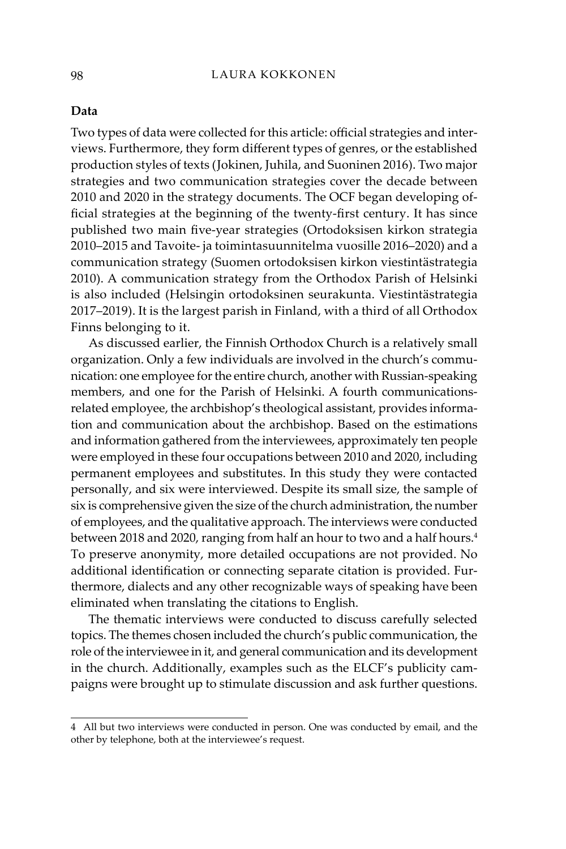#### **Data**

Two types of data were collected for this article: official strategies and interviews. Furthermore, they form different types of genres, or the established production styles of texts (Jokinen, Juhila, and Suoninen 2016). Two major strategies and two communication strategies cover the decade between 2010 and 2020 in the strategy documents. The OCF began developing official strategies at the beginning of the twenty-first century. It has since published two main five-year strategies (Ortodoksisen kirkon strategia 2010–2015 and Tavoite- ja toimintasuunnitelma vuosille 2016–2020) and a communication strategy (Suomen ortodoksisen kirkon viestintästrategia 2010). A communication strategy from the Orthodox Parish of Helsinki is also included (Helsingin ortodoksinen seurakunta. Viestintästrategia 2017–2019). It is the largest parish in Finland, with a third of all Orthodox Finns belonging to it.

As discussed earlier, the Finnish Orthodox Church is a relatively small organization. Only a few individuals are involved in the church's communication: one employee for the entire church, another with Russian-speaking members, and one for the Parish of Helsinki. A fourth communicationsrelated employee, the archbishop's theological assistant, provides information and communication about the archbishop. Based on the estimations and information gathered from the interviewees, approximately ten people were employed in these four occupations between 2010 and 2020, including permanent employees and substitutes. In this study they were contacted personally, and six were interviewed. Despite its small size, the sample of six is comprehensive given the size of the church administration, the number of employees, and the qualitative approach. The interviews were conducted between 2018 and 2020, ranging from half an hour to two and a half hours. 4 To preserve anonymity, more detailed occupations are not provided. No additional identification or connecting separate citation is provided. Furthermore, dialects and any other recognizable ways of speaking have been eliminated when translating the citations to English.

The thematic interviews were conducted to discuss carefully selected topics. The themes chosen included the church's public communication, the role of the interviewee in it, and general communication and its development in the church. Additionally, examples such as the ELCF's publicity campaigns were brought up to stimulate discussion and ask further questions.

<sup>4</sup> All but two interviews were conducted in person. One was conducted by email, and the other by telephone, both at the interviewee's request.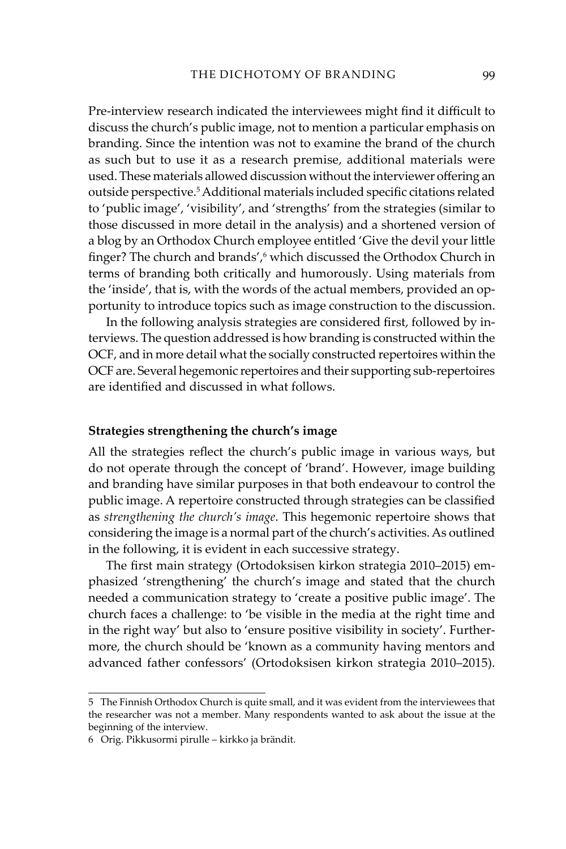Pre-interview research indicated the interviewees might find it difficult to discuss the church's public image, not to mention a particular emphasis on branding. Since the intention was not to examine the brand of the church as such but to use it as a research premise, additional materials were used. These materials allowed discussion without the interviewer offering an outside perspective.5Additional materials included specific citations related to 'public image', 'visibility', and 'strengths' from the strategies (similar to those discussed in more detail in the analysis) and a shortened version of a blog by an Orthodox Church employee entitled 'Give the devil your little finger? The church and brands',<sup>6</sup> which discussed the Orthodox Church in terms of branding both critically and humorously. Using materials from the 'inside', that is, with the words of the actual members, provided an opportunity to introduce topics such as image construction to the discussion.

In the following analysis strategies are considered first, followed by interviews. The question addressed is how branding is constructed within the OCF, and in more detail what the socially constructed repertoires within the OCF are. Several hegemonic repertoires and their supporting sub-repertoires are identified and discussed in what follows.

# **Strategies strengthening the church's image**

All the strategies reflect the church's public image in various ways, but do not operate through the concept of 'brand'. However, image building and branding have similar purposes in that both endeavour to control the public image. A repertoire constructed through strategies can be classified as *strengthening the church's image*. This hegemonic repertoire shows that considering the image is a normal part of the church's activities. As outlined in the following, it is evident in each successive strategy.

The first main strategy (Ortodoksisen kirkon strategia 2010–2015) emphasized 'strengthening' the church's image and stated that the church needed a communication strategy to 'create a positive public image'. The church faces a challenge: to 'be visible in the media at the right time and in the right way' but also to 'ensure positive visibility in society'. Furthermore, the church should be 'known as a community having mentors and advanced father confessors' (Ortodoksisen kirkon strategia 2010–2015).

<sup>5</sup> The Finnish Orthodox Church is quite small, and it was evident from the interviewees that the researcher was not a member. Many respondents wanted to ask about the issue at the beginning of the interview.

<sup>6</sup> Orig. Pikkusormi pirulle – kirkko ja brändit.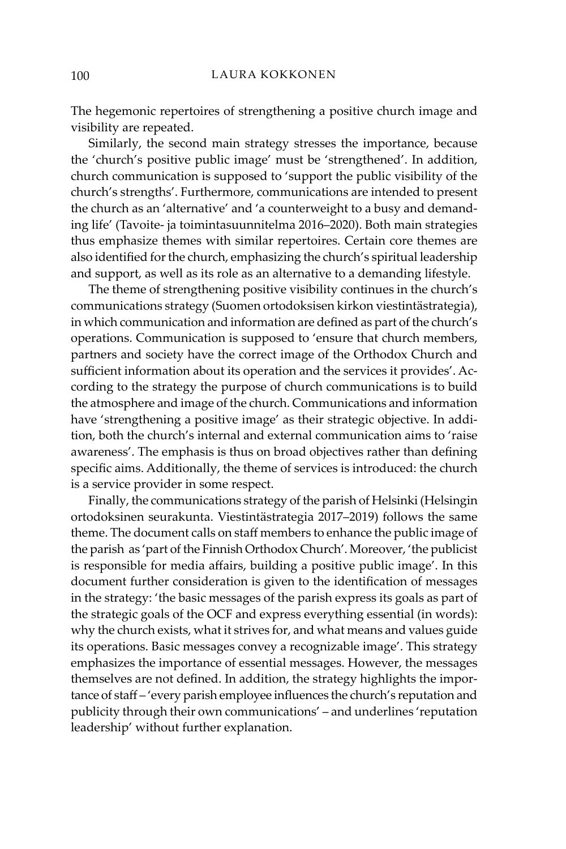The hegemonic repertoires of strengthening a positive church image and visibility are repeated.

Similarly, the second main strategy stresses the importance, because the 'church's positive public image' must be 'strengthened'. In addition, church communication is supposed to 'support the public visibility of the church's strengths'. Furthermore, communications are intended to present the church as an 'alternative' and 'a counterweight to a busy and demanding life' (Tavoite- ja toimintasuunnitelma 2016–2020). Both main strategies thus emphasize themes with similar repertoires. Certain core themes are also identified for the church, emphasizing the church's spiritual leadership and support, as well as its role as an alternative to a demanding lifestyle.

The theme of strengthening positive visibility continues in the church's communications strategy (Suomen ortodoksisen kirkon viestintästrategia), in which communication and information are defined as part of the church's operations. Communication is supposed to 'ensure that church members, partners and society have the correct image of the Orthodox Church and sufficient information about its operation and the services it provides'. According to the strategy the purpose of church communications is to build the atmosphere and image of the church. Communications and information have 'strengthening a positive image' as their strategic objective. In addition, both the church's internal and external communication aims to 'raise awareness'. The emphasis is thus on broad objectives rather than defining specific aims. Additionally, the theme of services is introduced: the church is a service provider in some respect.

Finally, the communications strategy of the parish of Helsinki (Helsingin ortodoksinen seurakunta. Viestintästrategia 2017–2019) follows the same theme. The document calls on staff members to enhance the public image of the parish as 'part of the Finnish Orthodox Church'. Moreover, 'the publicist is responsible for media affairs, building a positive public image'. In this document further consideration is given to the identification of messages in the strategy: 'the basic messages of the parish express its goals as part of the strategic goals of the OCF and express everything essential (in words): why the church exists, what it strives for, and what means and values guide its operations. Basic messages convey a recognizable image'. This strategy emphasizes the importance of essential messages. However, the messages themselves are not defined. In addition, the strategy highlights the importance of staff – 'every parish employee influences the church's reputation and publicity through their own communications' – and underlines 'reputation leadership' without further explanation.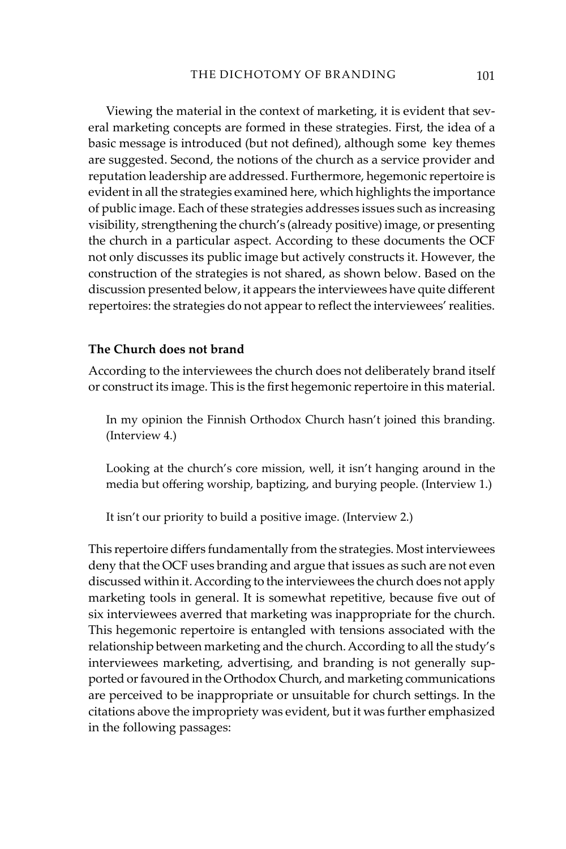Viewing the material in the context of marketing, it is evident that several marketing concepts are formed in these strategies. First, the idea of a basic message is introduced (but not defined), although some key themes are suggested. Second, the notions of the church as a service provider and reputation leadership are addressed. Furthermore, hegemonic repertoire is evident in all the strategies examined here, which highlights the importance of public image. Each of these strategies addresses issues such as increasing visibility, strengthening the church's (already positive) image, or presenting the church in a particular aspect. According to these documents the OCF not only discusses its public image but actively constructs it. However, the construction of the strategies is not shared, as shown below. Based on the discussion presented below, it appears the interviewees have quite different repertoires: the strategies do not appear to reflect the interviewees' realities.

# **The Church does not brand**

According to the interviewees the church does not deliberately brand itself or construct its image. This is the first hegemonic repertoire in this material.

In my opinion the Finnish Orthodox Church hasn't joined this branding. (Interview 4.)

Looking at the church's core mission, well, it isn't hanging around in the media but offering worship, baptizing, and burying people. (Interview 1.)

It isn't our priority to build a positive image. (Interview 2.)

This repertoire differs fundamentally from the strategies. Most interviewees deny that the OCF uses branding and argue that issues as such are not even discussed within it. According to the interviewees the church does not apply marketing tools in general. It is somewhat repetitive, because five out of six interviewees averred that marketing was inappropriate for the church. This hegemonic repertoire is entangled with tensions associated with the relationship between marketing and the church. According to all the study's interviewees marketing, advertising, and branding is not generally supported or favoured in the Orthodox Church, and marketing communications are perceived to be inappropriate or unsuitable for church settings. In the citations above the impropriety was evident, but it was further emphasized in the following passages: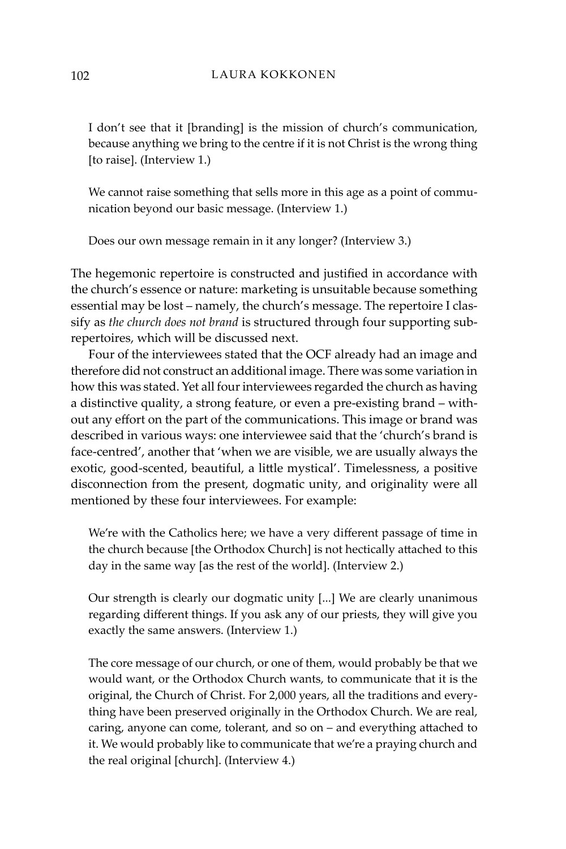I don't see that it [branding] is the mission of church's communication, because anything we bring to the centre if it is not Christ is the wrong thing [to raise]. (Interview 1.)

We cannot raise something that sells more in this age as a point of communication beyond our basic message. (Interview 1.)

Does our own message remain in it any longer? (Interview 3.)

The hegemonic repertoire is constructed and justified in accordance with the church's essence or nature: marketing is unsuitable because something essential may be lost – namely, the church's message. The repertoire I classify as *the church does not brand* is structured through four supporting subrepertoires, which will be discussed next.

Four of the interviewees stated that the OCF already had an image and therefore did not construct an additional image. There was some variation in how this was stated. Yet all four interviewees regarded the church as having a distinctive quality, a strong feature, or even a pre-existing brand – without any effort on the part of the communications. This image or brand was described in various ways: one interviewee said that the 'church's brand is face-centred', another that 'when we are visible, we are usually always the exotic, good-scented, beautiful, a little mystical'. Timelessness, a positive disconnection from the present, dogmatic unity, and originality were all mentioned by these four interviewees. For example:

We're with the Catholics here; we have a very different passage of time in the church because [the Orthodox Church] is not hectically attached to this day in the same way [as the rest of the world]. (Interview 2.)

Our strength is clearly our dogmatic unity [...] We are clearly unanimous regarding different things. If you ask any of our priests, they will give you exactly the same answers. (Interview 1.)

The core message of our church, or one of them, would probably be that we would want, or the Orthodox Church wants, to communicate that it is the original, the Church of Christ. For 2,000 years, all the traditions and everything have been preserved originally in the Orthodox Church. We are real, caring, anyone can come, tolerant, and so on – and everything attached to it. We would probably like to communicate that we're a praying church and the real original [church]. (Interview 4.)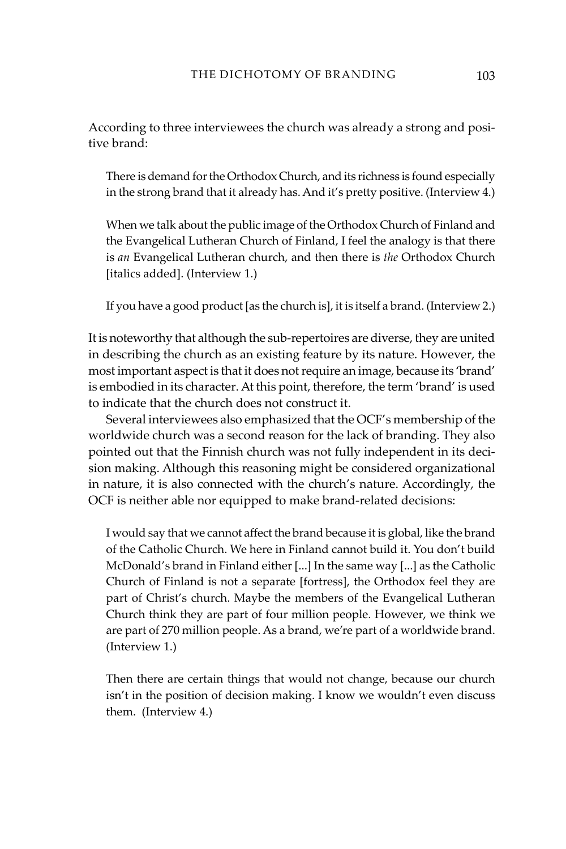According to three interviewees the church was already a strong and positive brand:

There is demand for the Orthodox Church, and its richness is found especially in the strong brand that it already has. And it's pretty positive. (Interview 4.)

When we talk about the public image of the Orthodox Church of Finland and the Evangelical Lutheran Church of Finland, I feel the analogy is that there is *an* Evangelical Lutheran church, and then there is *the* Orthodox Church [italics added]. (Interview 1.)

If you have a good product [as the church is], it is itself a brand. (Interview 2.)

It is noteworthy that although the sub-repertoires are diverse, they are united in describing the church as an existing feature by its nature. However, the most important aspect is that it does not require an image, because its 'brand' is embodied in its character.At this point, therefore, the term 'brand' is used to indicate that the church does not construct it.

Several interviewees also emphasized that the OCF's membership of the worldwide church was a second reason for the lack of branding. They also pointed out that the Finnish church was not fully independent in its decision making. Although this reasoning might be considered organizational in nature, it is also connected with the church's nature. Accordingly, the OCF is neither able nor equipped to make brand-related decisions:

I would say that we cannot affect the brand because it is global, like the brand of the Catholic Church. We here in Finland cannot build it. You don't build McDonald's brand in Finland either [...] In the same way [...] as the Catholic Church of Finland is not a separate [fortress], the Orthodox feel they are part of Christ's church. Maybe the members of the Evangelical Lutheran Church think they are part of four million people. However, we think we are part of 270 million people. As a brand, we're part of a worldwide brand. (Interview 1.)

Then there are certain things that would not change, because our church isn't in the position of decision making. I know we wouldn't even discuss them. (Interview 4.)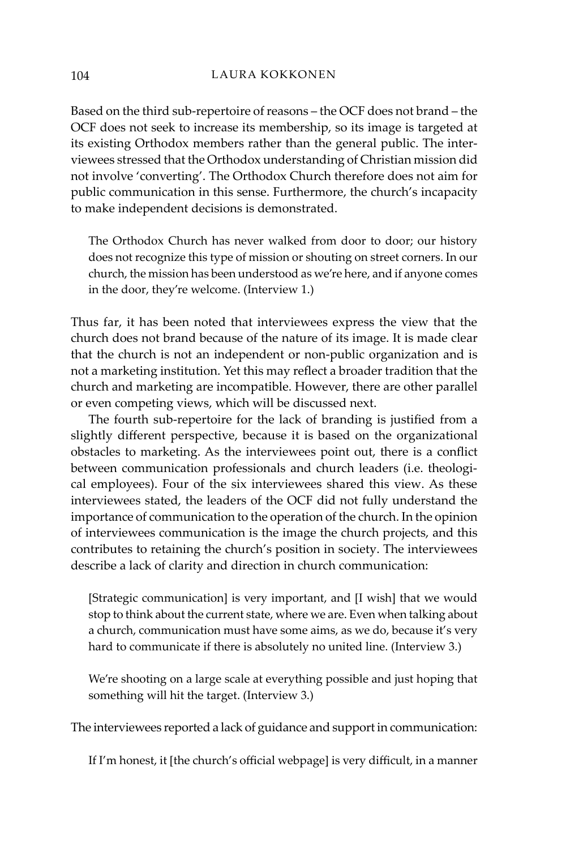Based on the third sub-repertoire of reasons – the OCF does not brand – the OCF does not seek to increase its membership, so its image is targeted at its existing Orthodox members rather than the general public. The interviewees stressed that the Orthodox understanding of Christian mission did not involve 'converting'. The Orthodox Church therefore does not aim for public communication in this sense. Furthermore, the church's incapacity to make independent decisions is demonstrated.

The Orthodox Church has never walked from door to door; our history does not recognize this type of mission or shouting on street corners. In our church, the mission has been understood as we're here, and if anyone comes in the door, they're welcome. (Interview 1.)

Thus far, it has been noted that interviewees express the view that the church does not brand because of the nature of its image. It is made clear that the church is not an independent or non-public organization and is not a marketing institution. Yet this may reflect a broader tradition that the church and marketing are incompatible. However, there are other parallel or even competing views, which will be discussed next.

The fourth sub-repertoire for the lack of branding is justified from a slightly different perspective, because it is based on the organizational obstacles to marketing. As the interviewees point out, there is a conflict between communication professionals and church leaders (i.e. theological employees). Four of the six interviewees shared this view. As these interviewees stated, the leaders of the OCF did not fully understand the importance of communication to the operation of the church. In the opinion of interviewees communication is the image the church projects, and this contributes to retaining the church's position in society. The interviewees describe a lack of clarity and direction in church communication:

[Strategic communication] is very important, and [I wish] that we would stop to think about the current state, where we are. Even when talking about a church, communication must have some aims, as we do, because it's very hard to communicate if there is absolutely no united line. (Interview 3.)

We're shooting on a large scale at everything possible and just hoping that something will hit the target. (Interview 3.)

The interviewees reported a lack of guidance and support in communication:

If I'm honest, it [the church's official webpage] is very difficult, in a manner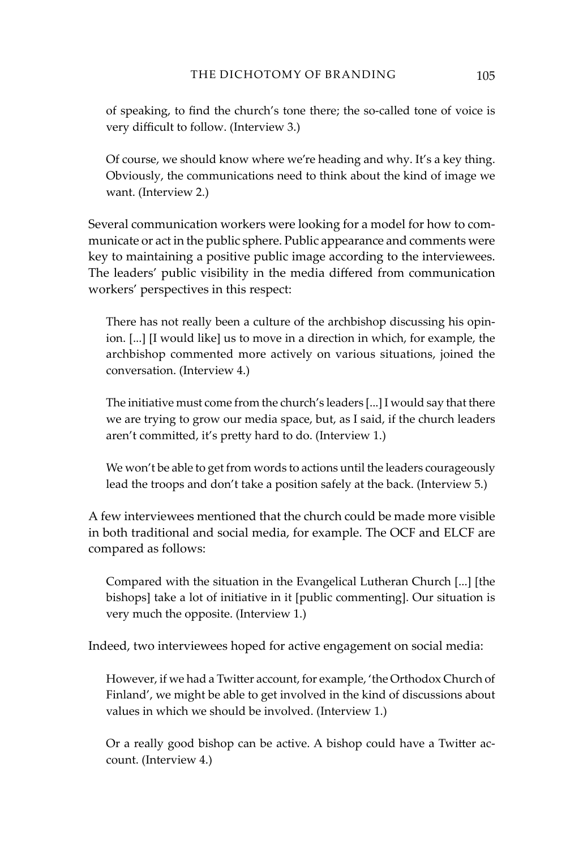of speaking, to find the church's tone there; the so-called tone of voice is very difficult to follow. (Interview 3.)

Of course, we should know where we're heading and why. It's a key thing. Obviously, the communications need to think about the kind of image we want. (Interview 2.)

Several communication workers were looking for a model for how to communicate or act in the public sphere. Public appearance and comments were key to maintaining a positive public image according to the interviewees. The leaders' public visibility in the media differed from communication workers' perspectives in this respect:

There has not really been a culture of the archbishop discussing his opinion. [...] [I would like] us to move in a direction in which, for example, the archbishop commented more actively on various situations, joined the conversation. (Interview 4.)

The initiative must come from the church's leaders [...] I would say that there we are trying to grow our media space, but, as I said, if the church leaders aren't committed, it's pretty hard to do. (Interview 1.)

We won't be able to get from words to actions until the leaders courageously lead the troops and don't take a position safely at the back. (Interview 5.)

A few interviewees mentioned that the church could be made more visible in both traditional and social media, for example. The OCF and ELCF are compared as follows:

Compared with the situation in the Evangelical Lutheran Church [...] [the bishops] take a lot of initiative in it [public commenting]. Our situation is very much the opposite. (Interview 1.)

Indeed, two interviewees hoped for active engagement on social media:

However, if we had a Twitter account, for example, 'the Orthodox Church of Finland', we might be able to get involved in the kind of discussions about values in which we should be involved. (Interview 1.)

Or a really good bishop can be active. A bishop could have a Twitter account. (Interview 4.)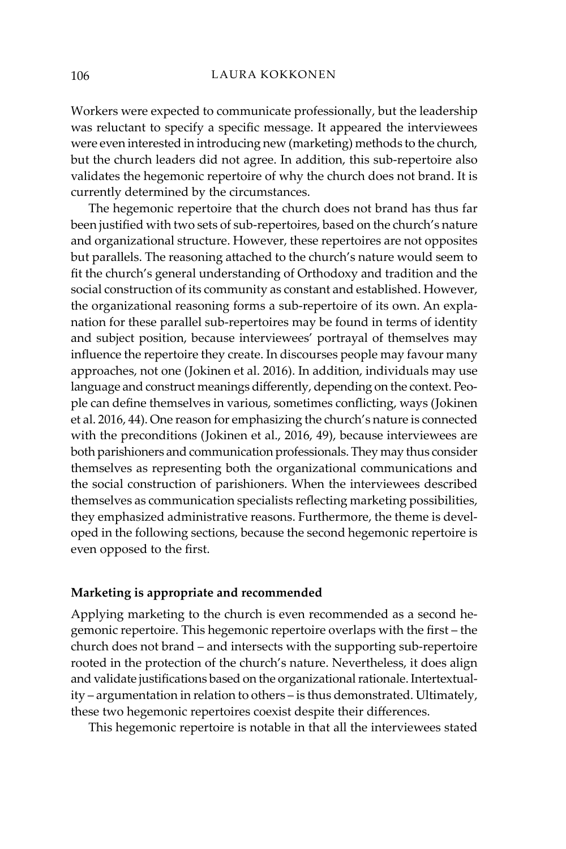Workers were expected to communicate professionally, but the leadership was reluctant to specify a specific message. It appeared the interviewees were even interested in introducing new (marketing) methods to the church, but the church leaders did not agree. In addition, this sub-repertoire also validates the hegemonic repertoire of why the church does not brand. It is currently determined by the circumstances.

The hegemonic repertoire that the church does not brand has thus far been justified with two sets of sub-repertoires, based on the church's nature and organizational structure. However, these repertoires are not opposites but parallels. The reasoning attached to the church's nature would seem to fit the church's general understanding of Orthodoxy and tradition and the social construction of its community as constant and established. However, the organizational reasoning forms a sub-repertoire of its own. An explanation for these parallel sub-repertoires may be found in terms of identity and subject position, because interviewees' portrayal of themselves may influence the repertoire they create. In discourses people may favour many approaches, not one (Jokinen et al. 2016). In addition, individuals may use language and construct meanings differently, depending on the context. People can define themselves in various, sometimes conflicting, ways (Jokinen et al. 2016, 44). One reason for emphasizing the church's nature is connected with the preconditions (Jokinen et al., 2016, 49), because interviewees are both parishioners and communication professionals.They may thus consider themselves as representing both the organizational communications and the social construction of parishioners. When the interviewees described themselves as communication specialists reflecting marketing possibilities, they emphasized administrative reasons. Furthermore, the theme is developed in the following sections, because the second hegemonic repertoire is even opposed to the first.

# **Marketing is appropriate and recommended**

Applying marketing to the church is even recommended as a second hegemonic repertoire. This hegemonic repertoire overlaps with the first – the church does not brand – and intersects with the supporting sub-repertoire rooted in the protection of the church's nature. Nevertheless, it does align and validate justifications based on the organizational rationale. Intertextuality – argumentation in relation to others – is thus demonstrated. Ultimately, these two hegemonic repertoires coexist despite their differences.

This hegemonic repertoire is notable in that all the interviewees stated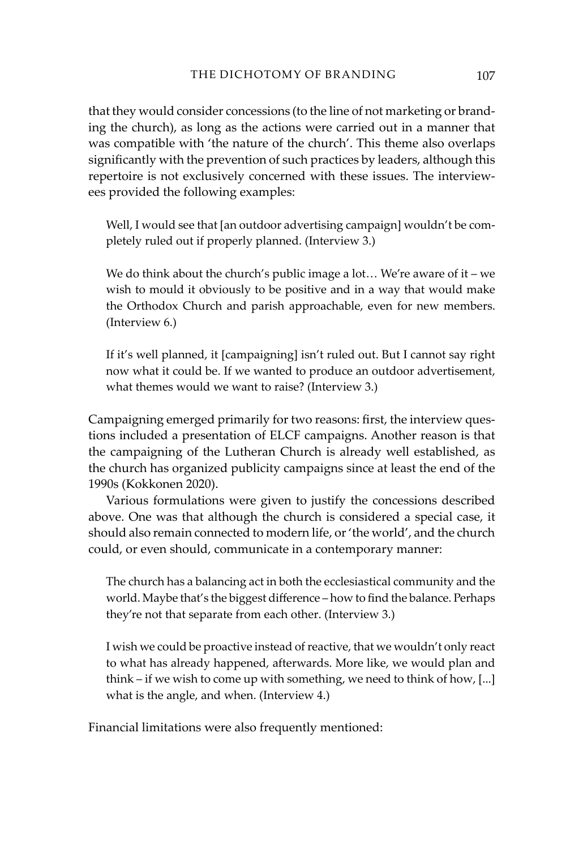that they would consider concessions (to the line of not marketing or branding the church), as long as the actions were carried out in a manner that was compatible with 'the nature of the church'. This theme also overlaps significantly with the prevention of such practices by leaders, although this repertoire is not exclusively concerned with these issues. The interviewees provided the following examples:

Well, I would see that [an outdoor advertising campaign] wouldn't be completely ruled out if properly planned. (Interview 3.)

We do think about the church's public image a lot... We're aware of it – we wish to mould it obviously to be positive and in a way that would make the Orthodox Church and parish approachable, even for new members. (Interview 6.)

If it's well planned, it [campaigning] isn't ruled out. But I cannot say right now what it could be. If we wanted to produce an outdoor advertisement, what themes would we want to raise? (Interview 3.)

Campaigning emerged primarily for two reasons: first, the interview questions included a presentation of ELCF campaigns. Another reason is that the campaigning of the Lutheran Church is already well established, as the church has organized publicity campaigns since at least the end of the 1990s (Kokkonen 2020).

Various formulations were given to justify the concessions described above. One was that although the church is considered a special case, it should also remain connected to modern life, or 'the world', and the church could, or even should, communicate in a contemporary manner:

The church has a balancing act in both the ecclesiastical community and the world. Maybe that's the biggest difference – how to find the balance. Perhaps they're not that separate from each other. (Interview 3.)

I wish we could be proactive instead of reactive, that we wouldn't only react to what has already happened, afterwards. More like, we would plan and think – if we wish to come up with something, we need to think of how, [...] what is the angle, and when. (Interview 4.)

Financial limitations were also frequently mentioned: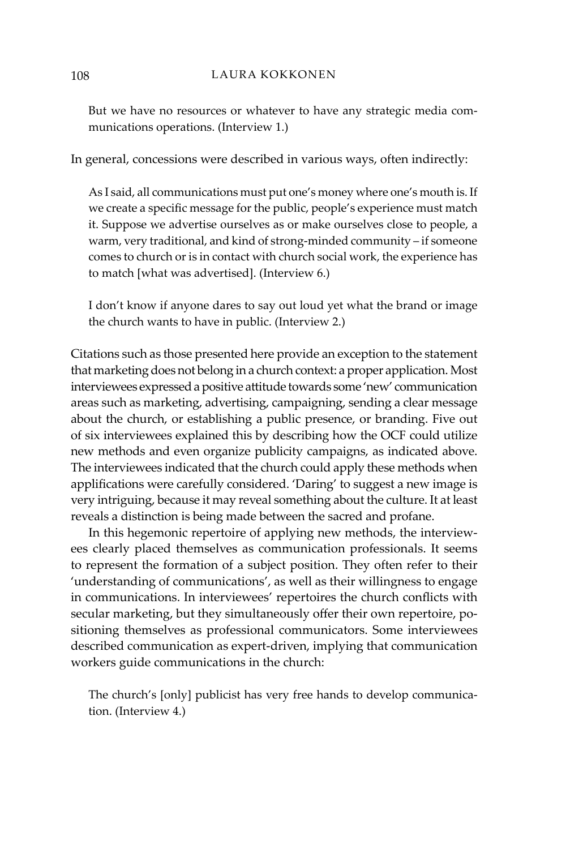But we have no resources or whatever to have any strategic media communications operations. (Interview 1.)

In general, concessions were described in various ways, often indirectly:

As I said, all communications must put one's money where one's mouth is. If we create a specific message for the public, people's experience must match it. Suppose we advertise ourselves as or make ourselves close to people, a warm, very traditional, and kind of strong-minded community – if someone comes to church or is in contact with church social work, the experience has to match [what was advertised]. (Interview 6.)

I don't know if anyone dares to say out loud yet what the brand or image the church wants to have in public. (Interview 2.)

Citations such as those presented here provide an exception to the statement that marketing does not belong in a church context: a proper application. Most interviewees expressed a positive attitude towards some 'new' communication areas such as marketing, advertising, campaigning, sending a clear message about the church, or establishing a public presence, or branding. Five out of six interviewees explained this by describing how the OCF could utilize new methods and even organize publicity campaigns, as indicated above. The interviewees indicated that the church could apply these methods when applifications were carefully considered. 'Daring' to suggest a new image is very intriguing, because it may reveal something about the culture. It at least reveals a distinction is being made between the sacred and profane.

In this hegemonic repertoire of applying new methods, the interviewees clearly placed themselves as communication professionals. It seems to represent the formation of a subject position. They often refer to their 'understanding of communications', as well as their willingness to engage in communications. In interviewees' repertoires the church conflicts with secular marketing, but they simultaneously offer their own repertoire, positioning themselves as professional communicators. Some interviewees described communication as expert-driven, implying that communication workers guide communications in the church:

The church's [only] publicist has very free hands to develop communication. (Interview 4.)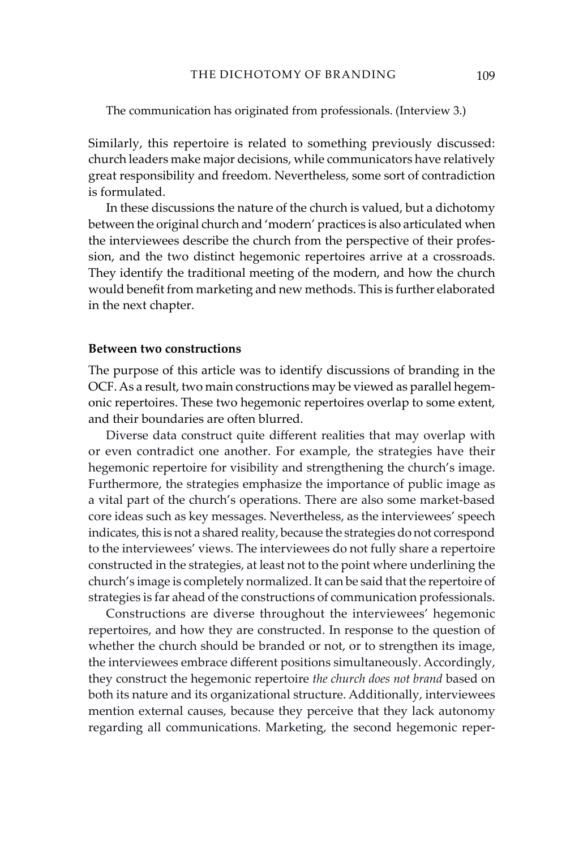The communication has originated from professionals. (Interview 3.)

Similarly, this repertoire is related to something previously discussed: church leaders make major decisions, while communicators have relatively great responsibility and freedom. Nevertheless, some sort of contradiction is formulated.

In these discussions the nature of the church is valued, but a dichotomy between the original church and 'modern' practices is also articulated when the interviewees describe the church from the perspective of their profession, and the two distinct hegemonic repertoires arrive at a crossroads. They identify the traditional meeting of the modern, and how the church would benefit from marketing and new methods. This is further elaborated in the next chapter.

# **Between two constructions**

The purpose of this article was to identify discussions of branding in the OCF. As a result, two main constructions may be viewed as parallel hegemonic repertoires. These two hegemonic repertoires overlap to some extent, and their boundaries are often blurred.

Diverse data construct quite different realities that may overlap with or even contradict one another. For example, the strategies have their hegemonic repertoire for visibility and strengthening the church's image. Furthermore, the strategies emphasize the importance of public image as a vital part of the church's operations. There are also some market-based core ideas such as key messages. Nevertheless, as the interviewees' speech indicates, this is not a shared reality, because the strategies do not correspond to the interviewees' views. The interviewees do not fully share a repertoire constructed in the strategies, at least not to the point where underlining the church's image is completely normalized. It can be said that the repertoire of strategies is far ahead of the constructions of communication professionals.

Constructions are diverse throughout the interviewees' hegemonic repertoires, and how they are constructed. In response to the question of whether the church should be branded or not, or to strengthen its image, the interviewees embrace different positions simultaneously. Accordingly, they construct the hegemonic repertoire *the church does not brand* based on both its nature and its organizational structure. Additionally, interviewees mention external causes, because they perceive that they lack autonomy regarding all communications. Marketing, the second hegemonic reper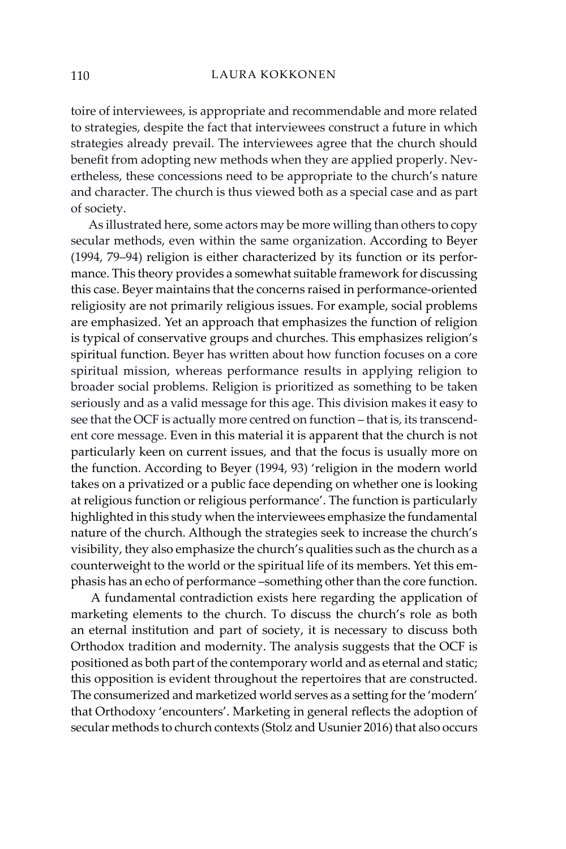toire of interviewees, is appropriate and recommendable and more related to strategies, despite the fact that interviewees construct a future in which strategies already prevail. The interviewees agree that the church should benefit from adopting new methods when they are applied properly. Nevertheless, these concessions need to be appropriate to the church's nature and character. The church is thus viewed both as a special case and as part of society.

As illustrated here, some actors may be more willing than others to copy secular methods, even within the same organization. According to Beyer (1994, 79–94) religion is either characterized by its function or its performance. This theory provides a somewhat suitable framework for discussing this case. Beyer maintains that the concerns raised in performance-oriented religiosity are not primarily religious issues. For example, social problems are emphasized. Yet an approach that emphasizes the function of religion is typical of conservative groups and churches. This emphasizes religion's spiritual function. Beyer has written about how function focuses on a core spiritual mission, whereas performance results in applying religion to broader social problems. Religion is prioritized as something to be taken seriously and as a valid message for this age. This division makes it easy to see that the OCF is actually more centred on function – that is, its transcendent core message. Even in this material it is apparent that the church is not particularly keen on current issues, and that the focus is usually more on the function. According to Beyer (1994, 93) 'religion in the modern world takes on a privatized or a public face depending on whether one is looking at religious function or religious performance'. The function is particularly highlighted in this study when the interviewees emphasize the fundamental nature of the church. Although the strategies seek to increase the church's visibility, they also emphasize the church's qualities such as the church as a counterweight to the world or the spiritual life of its members. Yet this emphasis has an echo of performance –something other than the core function.

 A fundamental contradiction exists here regarding the application of marketing elements to the church. To discuss the church's role as both an eternal institution and part of society, it is necessary to discuss both Orthodox tradition and modernity. The analysis suggests that the OCF is positioned as both part of the contemporary world and as eternal and static; this opposition is evident throughout the repertoires that are constructed. The consumerized and marketized world serves as a setting for the 'modern' that Orthodoxy 'encounters'. Marketing in general reflects the adoption of secular methods to church contexts (Stolz and Usunier 2016) that also occurs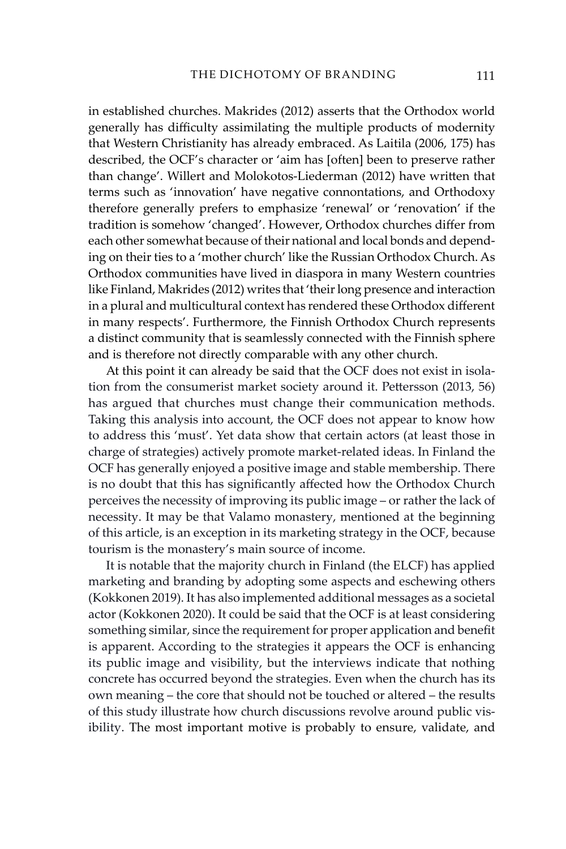in established churches. Makrides (2012) asserts that the Orthodox world generally has difficulty assimilating the multiple products of modernity that Western Christianity has already embraced. As Laitila (2006, 175) has described, the OCF's character or 'aim has [often] been to preserve rather than change'. Willert and Molokotos-Liederman (2012) have written that terms such as 'innovation' have negative connontations, and Orthodoxy therefore generally prefers to emphasize 'renewal' or 'renovation' if the tradition is somehow 'changed'. However, Orthodox churches differ from each other somewhat because of their national and local bonds and depending on their ties to a 'mother church' like the Russian Orthodox Church. As Orthodox communities have lived in diaspora in many Western countries like Finland, Makrides (2012) writes that 'their long presence and interaction in a plural and multicultural context has rendered these Orthodox different in many respects'. Furthermore, the Finnish Orthodox Church represents a distinct community that is seamlessly connected with the Finnish sphere and is therefore not directly comparable with any other church.

At this point it can already be said that the OCF does not exist in isolation from the consumerist market society around it. Pettersson (2013, 56) has argued that churches must change their communication methods. Taking this analysis into account, the OCF does not appear to know how to address this 'must'. Yet data show that certain actors (at least those in charge of strategies) actively promote market-related ideas. In Finland the OCF has generally enjoyed a positive image and stable membership. There is no doubt that this has significantly affected how the Orthodox Church perceives the necessity of improving its public image – or rather the lack of necessity. It may be that Valamo monastery, mentioned at the beginning of this article, is an exception in its marketing strategy in the OCF, because tourism is the monastery's main source of income.

It is notable that the majority church in Finland (the ELCF) has applied marketing and branding by adopting some aspects and eschewing others (Kokkonen 2019). It has also implemented additional messages as a societal actor (Kokkonen 2020). It could be said that the OCF is at least considering something similar, since the requirement for proper application and benefit is apparent. According to the strategies it appears the OCF is enhancing its public image and visibility, but the interviews indicate that nothing concrete has occurred beyond the strategies. Even when the church has its own meaning – the core that should not be touched or altered – the results of this study illustrate how church discussions revolve around public visibility. The most important motive is probably to ensure, validate, and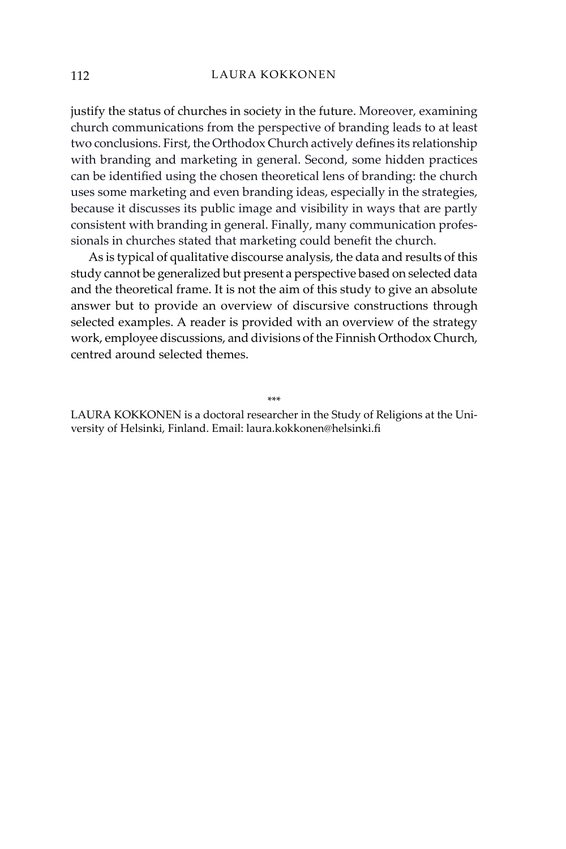justify the status of churches in society in the future. Moreover, examining church communications from the perspective of branding leads to at least two conclusions. First, the Orthodox Church actively defines its relationship with branding and marketing in general. Second, some hidden practices can be identified using the chosen theoretical lens of branding: the church uses some marketing and even branding ideas, especially in the strategies, because it discusses its public image and visibility in ways that are partly consistent with branding in general. Finally, many communication professionals in churches stated that marketing could benefit the church.

As is typical of qualitative discourse analysis, the data and results of this study cannot be generalized but present a perspective based on selected data and the theoretical frame. It is not the aim of this study to give an absolute answer but to provide an overview of discursive constructions through selected examples. A reader is provided with an overview of the strategy work, employee discussions, and divisions of the Finnish Orthodox Church, centred around selected themes.

\*\*\*

LAURA KOKKONEN is a doctoral researcher in the Study of Religions at the University of Helsinki, Finland. Email: laura.kokkonen@helsinki.fi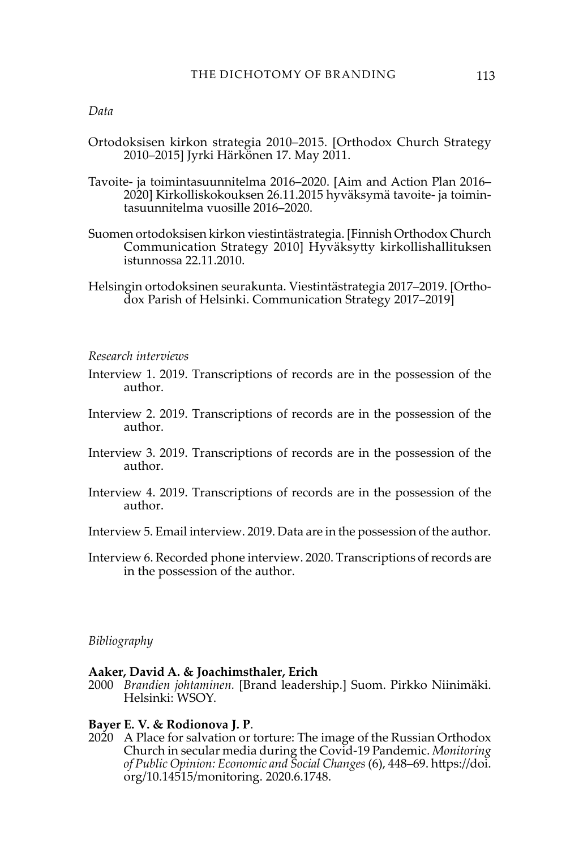### *Data*

- Ortodoksisen kirkon strategia 2010–2015. [Orthodox Church Strategy 2010–2015] Jyrki Härkönen 17. May 2011.
- Tavoite- ja toimintasuunnitelma 2016–2020. [Aim and Action Plan 2016– 2020] Kirkolliskokouksen 26.11.2015 hyväksymä tavoite- ja toimintasuunnitelma vuosille 2016–2020.
- Suomen ortodoksisen kirkon viestintästrategia. [Finnish Orthodox Church Communication Strategy 2010] Hyväksytty kirkollishallituksen istunnossa 22.11.2010.
- Helsingin ortodoksinen seurakunta. Viestintästrategia 2017–2019. [Orthodox Parish of Helsinki. Communication Strategy 2017–2019]

#### *Research interviews*

- Interview 1. 2019. Transcriptions of records are in the possession of the author.
- Interview 2. 2019. Transcriptions of records are in the possession of the author.
- Interview 3. 2019. Transcriptions of records are in the possession of the author.
- Interview 4. 2019. Transcriptions of records are in the possession of the author.
- Interview 5. Email interview. 2019. Data are in the possession of the author.
- Interview 6. Recorded phone interview. 2020. Transcriptions of records are in the possession of the author.

#### *Bibliography*

### **Aaker, David A. & Joachimsthaler, Erich**

2000 *Brandien johtaminen.* [Brand leadership.] Suom. Pirkko Niinimäki. Helsinki: WSOY.

#### **Bayer E. V. & Rodionova J. P**.

2020 A Place for salvation or torture: The image of the Russian Orthodox Church in secular media during the Covid-19 Pandemic. *Monitoring of Public Opinion: Economic and Social Changes* (6), 448–69. https://doi. org/10.14515/monitoring. 2020.6.1748.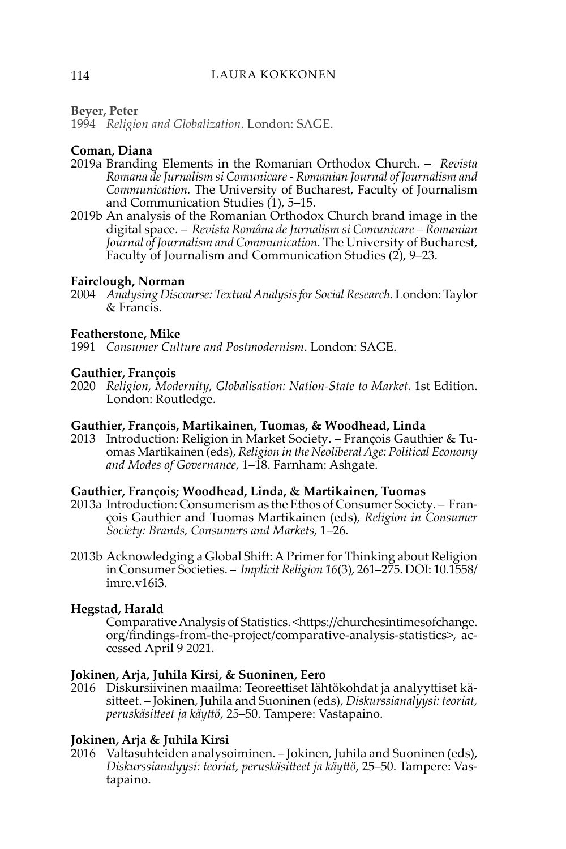# **Beyer, Peter**

1994 *Religion and Globalization*. London: SAGE.

# **Coman, Diana**

- 2019a [Branding Elements in the Romanian Orthodox Church.](https://ideas.repec.org/a/foj/journl/y2019i1p5-15.html) *[Revista](https://ideas.repec.org/s/foj/journl.html)  [Romana de Jurnalism si Comunicare - Romanian Journal of Journalism and](https://ideas.repec.org/s/foj/journl.html)  [Communication](https://ideas.repec.org/s/foj/journl.html).* The University of Bucharest, Faculty of Journalism and Communication Studies (1), 5–15.
- 2019b An analysis of the Romanian Orthodox Church brand image in the digital space. – *[Revista Româna de Jurnalism si Comunicare](https://www.proquest.com/pubidlinkhandler/sng/pubtitle/Revista+Rom$e2na+de+Jurnalism+si+Comunicare/$N/636383/OpenView/2322105814/$B/AECD469A77BA412EPQ/1;jsessionid=E44CEB4C2F9258224E1CD4F86B9B7C07.i-0264a621ff5ff7c3a) – Romanian Journal of Journalism and Communication.* The University of Bucharest, Faculty of Journalism and Communication Studies (2[\),](https://www.proquest.com/indexingvolumeissuelinkhandler/636383/Revista+Rom$e2na+de+Jurnalism+si+Comunicare/02019Y04Y01$232019$3b++Vol.+14+$282$29/14/2;jsessionid=E44CEB4C2F9258224E1CD4F86B9B7C07.i-0264a621ff5ff7c3a) 9–23.

# **Fairclough, Norman**

2004 *Analysing Discourse: Textual Analysis for Social Research*. London: Taylor & Francis.

# **Featherstone, Mike**

1991 *Consumer Culture and Postmodernism*. London: SAGE.

# **Gauthier, François**

2020 *Religion, Modernity, Globalisation: Nation-State to Market.* 1st Edition. London: Routledge.

# **Gauthier, François, Martikainen, Tuomas, & Woodhead, Linda**

2013 Introduction: Religion in Market Society. – François Gauthier & Tuomas Martikainen (eds), *Religion in the Neoliberal Age: Political Economy and Modes of Governance*, 1–18. Farnham: Ashgate.

# **Gauthier, François; Woodhead, Linda, & Martikainen, Tuomas**

- 2013a Introduction: Consumerism as the Ethos of Consumer Society. François Gauthier and Tuomas Martikainen (eds)*, Religion in Consumer Society: Brands, Consumers and Markets,* 1–26*.*
- 2013b Acknowledging a Global Shift: A Primer for Thinking about Religion in Consumer Societies. – *Implicit Religion 16*(3), 261–275. DOI: [10.1558/](http://dx.doi.org/10.1558/imre.v16i3.261-276) [imre.v16i3.](http://dx.doi.org/10.1558/imre.v16i3.261-276)

# **Hegstad, Harald**

Comparative Analysis of Statistics. <[https://churchesintimesofchange.](https://churchesintimesofchange.org/findings-from-the-project/comparative-analysis-statistics) [org/findings-from-the-project/comparative-analysis-statistics](https://churchesintimesofchange.org/findings-from-the-project/comparative-analysis-statistics)>, accessed April 9 2021.

# **Jokinen, Arja, Juhila Kirsi, & Suoninen, Eero**

2016 Diskursiivinen maailma: Teoreettiset lähtökohdat ja analyyttiset käsitteet. – Jokinen, Juhila and Suoninen (eds), *Diskurssianalyysi: teoriat, peruskäsitteet ja käyttö*, 25–50. Tampere: Vastapaino.

# **Jokinen, Arja & Juhila Kirsi**

2016 Valtasuhteiden analysoiminen. – Jokinen, Juhila and Suoninen (eds), *Diskurssianalyysi: teoriat, peruskäsitteet ja käyttö*, 25–50. Tampere: Vastapaino.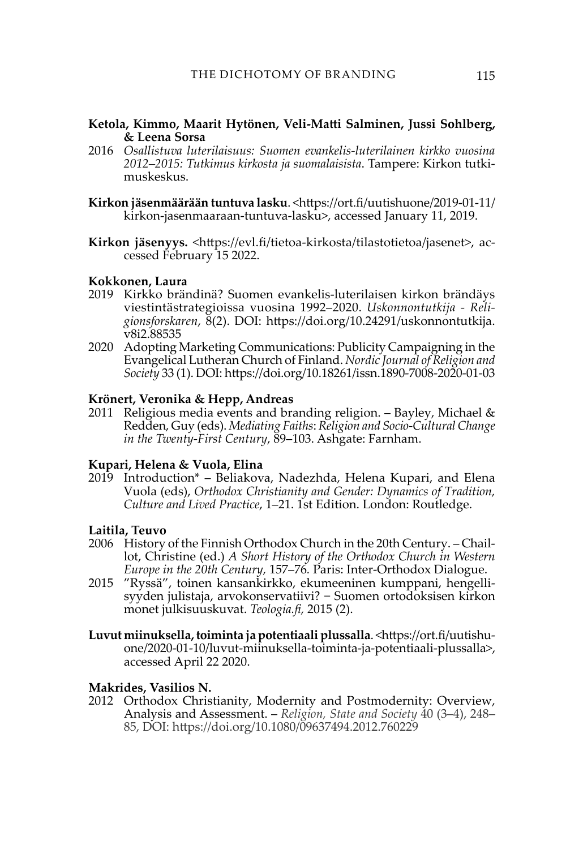# **Ketola, Kimmo, Maarit Hytönen, Veli-Matti Salminen, Jussi Sohlberg, & Leena Sorsa**

- 2016 *Osallistuva luterilaisuus: Suomen evankelis-luterilainen kirkko vuosina 2012–2015: Tutkimus kirkosta ja suomalaisista*. Tampere: Kirkon tutkimuskeskus.
- **Kirkon jäsenmäärään tuntuva lasku**. <https://ort.fi/uutishuone/2019-01-11/ kirkon-jasenmaaraan-tuntuva-lasku>, accessed January 11, 2019.
- **Kirkon jäsenyys.** <<https://evl.fi/tietoa-kirkosta/tilastotietoa/jasenet>>, accessed February 15 2022.

### **Kokkonen, Laura**

- 2019 Kirkko brändinä? Suomen evankelis-luterilaisen kirkon brändäys viestintästrategioissa vuosina 1992–2020. *Uskonnontutkija - Religionsforskaren*, 8(2). DOI: [https://doi.org/10.24291/uskonnontutkija.](https://doi.org/10.24291/uskonnontutkija.v8i2.88535) [v8i2.88535](https://doi.org/10.24291/uskonnontutkija.v8i2.88535)
- 2020 Adopting Marketing Communications: Publicity Campaigning in the Evangelical Lutheran Church of Finland. *Nordic Journal of Religion and Society* 33 (1). DOI: <https://doi.org/10.18261/issn.1890-7008-2020-01-03>

### **Krönert, Veronika & Hepp, Andreas**

2011 Religious media events and branding religion. – Bayley, Michael  $\&$ Redden, Guy (eds). *Mediating Faiths*: *Religion and Socio-Cultural Change in the Twenty-First Century*, 89–103. Ashgate: Farnham.

### **Kupari, Helena & Vuola, Elina**

2019 Introduction\* – Beliakova, Nadezhda, Helena Kupari, and Elena Vuola (eds), *Orthodox Christianity and Gender: Dynamics of Tradition, Culture and Lived Practice*, 1–21. 1st Edition. London: Routledge.

# **Laitila, Teuvo**

- 2006 History of the Finnish Orthodox Church in the 20th Century. Chaillot, Christine (ed.) *A Short History of the Orthodox Church in Western Europe in the 20th Century,* 157–76*.* Paris: Inter-Orthodox Dialogue.
- 2015 "Ryssä", toinen kansankirkko, ekumeeninen kumppani, hengellisyyden julistaja, arvokonservatiivi? − Suomen ortodoksisen kirkon monet julkisuuskuvat. *Teologia.fi,* 2015 (2).
- **Luvut miinuksella, toiminta ja potentiaali plussalla**. <https://ort.fi/uutishuone/2020-01-10/luvut-miinuksella-toiminta-ja-potentiaali-plussalla>, accessed April 22 2020.

#### **Makrides, Vasilios N.**

2012 Orthodox Christianity, Modernity and Postmodernity: Overview, Analysis and Assessment. – *Religion, State and Society* 40 (3–4), 248– 85, DOI: https://doi.org/[10.1080/09637494.2012.760229](https://doi.org/10.1080/09637494.2012.760229)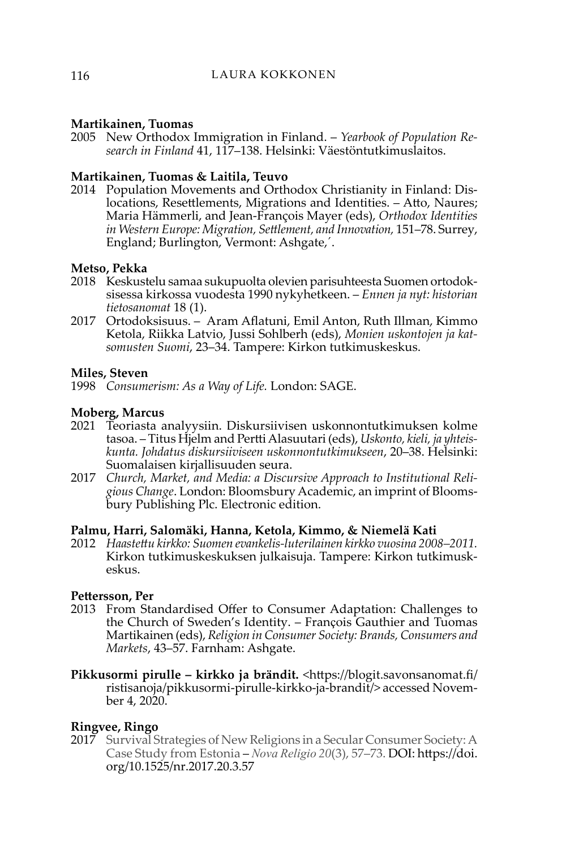# **Martikainen, Tuomas**

2005 New Orthodox Immigration in Finland. – *Yearbook of Population Research in Finland* 41, 117–138. Helsinki: Väestöntutkimuslaitos.

# **Martikainen, Tuomas & Laitila, Teuvo**

2014 Population Movements and Orthodox Christianity in Finland: Dislocations, Resettlements, Migrations and Identities. – Atto, Naures; Maria Hämmerli, and Jean-François Mayer (eds), *Orthodox Identities in Western Europe: Migration, Settlement, and Innovation,* 151–78. Surrey, England; Burlington, Vermont: Ashgate,´.

# **Metso, Pekka**

- 2018 Keskustelu samaa sukupuolta olevien parisuhteesta Suomen ortodoksisessa kirkossa vuodesta 1990 nykyhetkeen. – *Ennen ja nyt: historian tietosanomat* 18 (1).
- 2017 Ortodoksisuus. Aram Aflatuni, Emil Anton, Ruth Illman, Kimmo Ketola, Riikka Latvio, Jussi Sohlberh (eds), *Monien uskontojen ja katsomusten Suomi*, 23–34. Tampere: Kirkon tutkimuskeskus.

# **Miles, Steven**

1998 *Consumerism: As a Way of Life.* London: SAGE.

# **Moberg, Marcus**

- 2021 Teoriasta analyysiin. Diskursiivisen uskonnontutkimuksen kolme tasoa. – Titus Hjelm and Pertti Alasuutari (eds), *Uskonto, kieli, ja yhteiskunta. Johdatus diskursiiviseen uskonnontutkimukseen*, 20–38. Helsinki: Suomalaisen kirjallisuuden seura.
- 2017 *Church, Market, and Media: a Discursive Approach to Institutional Religious Change*. London: Bloomsbury Academic, an imprint of Bloomsbury Publishing Plc. Electronic edition.

#### **Palmu, Harri, Salomäki, Hanna, Ketola, Kimmo, & Niemelä Kati**

2012 *Haastettu kirkko: Suomen evankelis-luterilainen kirkko vuosina 2008–2011.*  Kirkon tutkimuskeskuksen julkaisuja. Tampere: Kirkon tutkimuskeskus.

# **Pettersson, Per**

- 2013 From Standardised Offer to Consumer Adaptation: Challenges to the Church of Sweden's Identity. – François Gauthier and Tuomas Martikainen (eds), *Religion in Consumer Society: Brands, Consumers and Markets*, 43–57. Farnham: Ashgate.
- **Pikkusormi pirulle kirkko ja brändit.** <https://blogit.savonsanomat.fi/ ristisanoja/pikkusormi-pirulle-kirkko-ja-brandit/> accessed November 4, 2020.

# **Ringvee, Ringo**

2017 Survival Strategies of New Religions in a Secular Consumer Society: A Case Study from Estonia – *Nova Religio 20*(3), 57–73. DOI: [https://doi.](https://doi.org/10.1525/nr.2017.20.3.57) [org/10.1525/nr.2017.20.3.57](https://doi.org/10.1525/nr.2017.20.3.57)